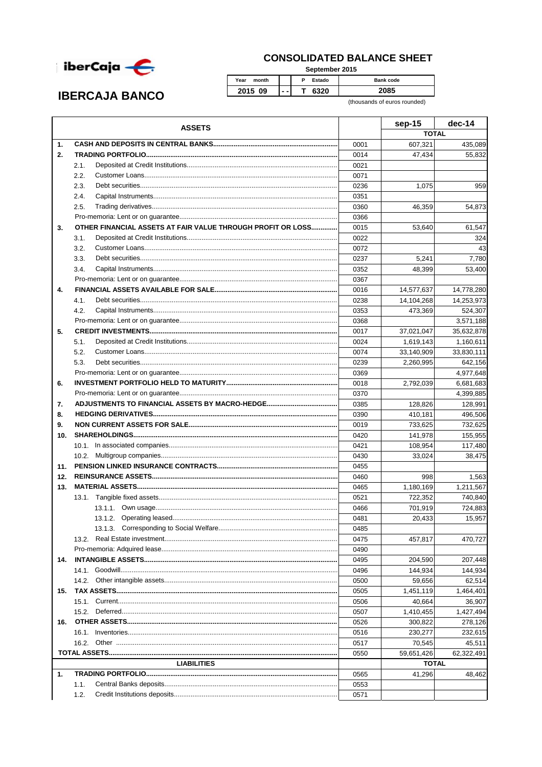

## **CONSOLIDATED BALANCE SHEET**

September 2015

 $\overline{\mathsf{P}}$ Year month Estado Bank code 2015 09  $\overline{\mathsf{T}}$ 6320 2085  $\sim$  .

(thousands of euros rounded)

|     | <b>ASSETS</b>                                               |      | sep-15       | $dec-14$   |
|-----|-------------------------------------------------------------|------|--------------|------------|
|     |                                                             |      | <b>TOTAL</b> |            |
| 1.  |                                                             | 0001 | 607,321      | 435,089    |
| 2.  |                                                             | 0014 | 47,434       | 55,832     |
|     | 2.1.                                                        | 0021 |              |            |
|     | 2.2.                                                        | 0071 |              |            |
|     | 2.3.                                                        | 0236 | 1,075        | 959        |
|     | 2.4.                                                        | 0351 |              |            |
|     | 2.5.                                                        | 0360 | 46,359       | 54,873     |
|     |                                                             | 0366 |              |            |
| 3.  | OTHER FINANCIAL ASSETS AT FAIR VALUE THROUGH PROFIT OR LOSS | 0015 | 53,640       | 61,547     |
|     | 3.1.                                                        | 0022 |              | 324        |
|     | 3.2.                                                        | 0072 |              | 43         |
|     | 3.3.                                                        | 0237 | 5,241        | 7,780      |
|     | 3.4.                                                        | 0352 | 48,399       | 53,400     |
|     |                                                             | 0367 |              |            |
| 4.  |                                                             | 0016 | 14,577,637   | 14,778,280 |
|     | 4.1.                                                        | 0238 | 14,104,268   | 14,253,973 |
|     | 4.2.                                                        | 0353 | 473,369      | 524,307    |
|     |                                                             | 0368 |              | 3,571,188  |
| 5.  |                                                             | 0017 | 37,021,047   | 35,632,878 |
|     | 5.1.                                                        | 0024 | 1,619,143    | 1,160,611  |
|     | 5.2.                                                        | 0074 | 33,140,909   | 33,830,111 |
|     | 5.3.                                                        | 0239 | 2,260,995    | 642,156    |
|     |                                                             | 0369 |              | 4,977,648  |
| 6.  |                                                             | 0018 | 2,792,039    | 6,681,683  |
|     |                                                             | 0370 |              | 4,399,885  |
| 7.  |                                                             | 0385 | 128,826      | 128,991    |
| 8.  |                                                             | 0390 | 410,181      | 496,506    |
| 9.  |                                                             | 0019 | 733,625      | 732,625    |
| 10. |                                                             | 0420 | 141,978      | 155,955    |
|     |                                                             | 0421 | 108,954      | 117,480    |
|     |                                                             | 0430 | 33,024       | 38,475     |
| 11. |                                                             | 0455 |              |            |
| 12. |                                                             | 0460 | 998          | 1,563      |
| 13. |                                                             | 0465 | 1,180,169    | 1,211,567  |
|     |                                                             | 0521 | 722,352      | 740,840    |
|     |                                                             | 0466 | 701,919      | 724,883    |
|     |                                                             | 0481 | 20,433       | 15,957     |
|     | 13.1.3. Corresponding to Social Welfare                     | 0485 |              |            |
|     |                                                             | 0475 | 457,817      | 470,727    |
|     |                                                             | 0490 |              |            |
|     |                                                             |      |              |            |
| 14. |                                                             | 0495 | 204,590      | 207,448    |
|     |                                                             | 0496 | 144,934      | 144,934    |
|     | 14.2.                                                       | 0500 | 59,656       | 62,514     |
| 15. |                                                             | 0505 | 1,451,119    | 1,464,401  |
|     |                                                             | 0506 | 40,664       | 36,907     |
|     | 15.2.                                                       | 0507 | 1,410,455    | 1,427,494  |
| 16. |                                                             | 0526 | 300,822      | 278,126    |
|     |                                                             | 0516 | 230,277      | 232,615    |
|     | 16.2.                                                       | 0517 | 70,545       | 45,511     |
|     |                                                             | 0550 | 59,651,426   | 62,322,491 |
|     | <b>LIABILITIES</b>                                          |      | <b>TOTAL</b> |            |
| 1.  |                                                             | 0565 | 41,296       | 48,462     |
|     | 1.1.                                                        | 0553 |              |            |
|     | 1.2.                                                        | 0571 |              |            |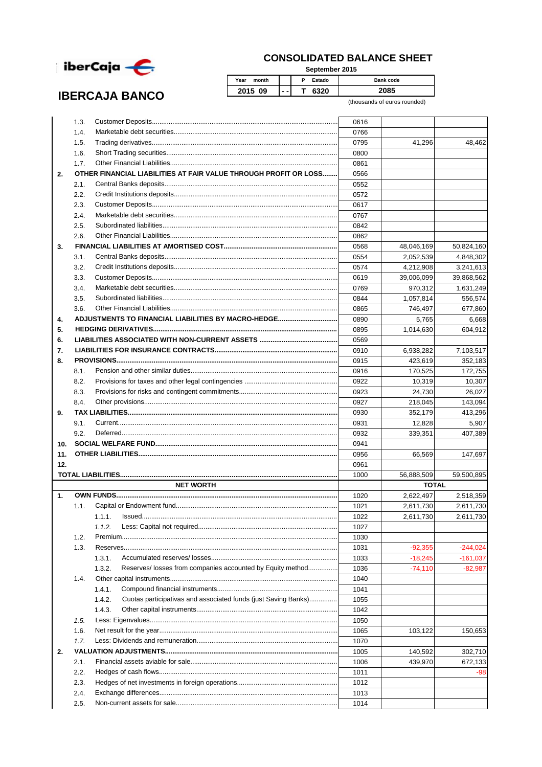

## **CONSOLIDATED BALANCE SHEET**

**September 2015**

| -                     |               |     |        |                  |
|-----------------------|---------------|-----|--------|------------------|
|                       | Year<br>month |     | Estado | <b>Bank code</b> |
| <b>IBERCAJA BANCO</b> | 2015 09       | --- | 6320   | 2085             |
|                       |               |     |        | .                |

(thousands of euros rounded)

|     | 1.3. |                                                                          | 0616 |              |            |
|-----|------|--------------------------------------------------------------------------|------|--------------|------------|
|     | 1.4. |                                                                          | 0766 |              |            |
|     | 1.5. |                                                                          | 0795 | 41,296       | 48,462     |
|     | 1.6. |                                                                          | 0800 |              |            |
|     | 1.7. |                                                                          | 0861 |              |            |
| 2.  |      | OTHER FINANCIAL LIABILITIES AT FAIR VALUE THROUGH PROFIT OR LOSS         | 0566 |              |            |
|     | 2.1. |                                                                          | 0552 |              |            |
|     | 2.2. |                                                                          | 0572 |              |            |
|     | 2.3. |                                                                          | 0617 |              |            |
|     | 2.4. |                                                                          | 0767 |              |            |
|     | 2.5. |                                                                          | 0842 |              |            |
|     | 2.6. |                                                                          | 0862 |              |            |
| 3.  |      |                                                                          | 0568 | 48,046,169   | 50,824,160 |
|     | 3.1. |                                                                          | 0554 | 2,052,539    | 4,848,302  |
|     | 3.2. |                                                                          | 0574 | 4,212,908    | 3,241,613  |
|     | 3.3. |                                                                          | 0619 | 39,006,099   | 39,868,562 |
|     | 3.4. |                                                                          | 0769 | 970,312      | 1,631,249  |
|     | 3.5. |                                                                          | 0844 | 1,057,814    | 556,574    |
|     | 3.6. |                                                                          | 0865 | 746,497      | 677,860    |
| 4.  |      | ADJUSTMENTS TO FINANCIAL LIABILITIES BY MACRO-HEDGE                      | 0890 | 5,765        | 6,668      |
| 5.  |      |                                                                          | 0895 | 1,014,630    | 604,912    |
| 6.  |      |                                                                          | 0569 |              |            |
| 7.  |      |                                                                          | 0910 | 6,938,282    | 7,103,517  |
| 8.  |      |                                                                          | 0915 | 423,619      | 352,183    |
|     | 8.1. |                                                                          | 0916 | 170,525      | 172,755    |
|     | 8.2. |                                                                          | 0922 | 10,319       | 10,307     |
|     | 8.3. |                                                                          | 0923 | 24,730       | 26,027     |
|     | 8.4. |                                                                          | 0927 | 218,045      | 143,094    |
| 9.  |      |                                                                          | 0930 | 352,179      | 413,296    |
|     | 9.1. |                                                                          | 0931 | 12,828       | 5,907      |
|     | 9.2. |                                                                          | 0932 | 339,351      | 407,389    |
| 10. |      |                                                                          | 0941 |              |            |
| 11. |      |                                                                          | 0956 | 66,569       | 147,697    |
| 12. |      |                                                                          | 0961 |              |            |
|     |      |                                                                          | 1000 | 56,888,509   | 59,500,895 |
|     |      | <b>NET WORTH</b>                                                         |      | <b>TOTAL</b> |            |
| 1.  |      |                                                                          | 1020 | 2,622,497    | 2,518,359  |
|     | 1.1. |                                                                          | 1021 | 2,611,730    | 2,611,730  |
|     |      | 1.1.1.                                                                   | 1022 | 2,611,730    | 2,611,730  |
|     |      | 1.1.2.                                                                   | 1027 |              |            |
|     | 1.2. | Premium                                                                  | 1030 |              |            |
|     | 1.3. |                                                                          | 1031 | $-92,355$    | $-244,024$ |
|     |      | 1.3.1.                                                                   | 1033 | $-18,245$    | $-161,037$ |
|     |      | Reserves/ losses from companies accounted by Equity method<br>1.3.2.     | 1036 | $-74,110$    | $-82,987$  |
|     | 1.4. |                                                                          | 1040 |              |            |
|     |      | 1.4.1.                                                                   | 1041 |              |            |
|     |      | 1.4.2.<br>Cuotas participativas and associated funds (just Saving Banks) | 1055 |              |            |
|     |      | 1.4.3.                                                                   | 1042 |              |            |
|     | 1.5. |                                                                          | 1050 |              |            |
|     | 1.6. |                                                                          | 1065 | 103,122      | 150,653    |
|     | 1.7. |                                                                          | 1070 |              |            |
| 2.  |      |                                                                          | 1005 | 140,592      | 302,710    |
|     | 2.1. |                                                                          | 1006 | 439,970      | 672,133    |
|     | 2.2. |                                                                          | 1011 |              | -98        |
|     | 2.3. |                                                                          | 1012 |              |            |
|     | 2.4. |                                                                          | 1013 |              |            |
|     |      |                                                                          |      |              |            |
|     | 2.5. |                                                                          | 1014 |              |            |